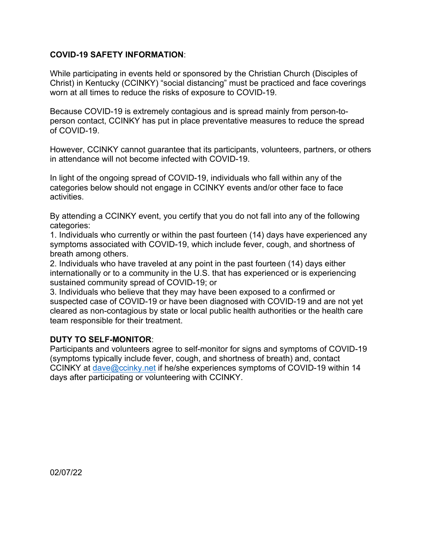#### **COVID-19 SAFETY INFORMATION**:

While participating in events held or sponsored by the Christian Church (Disciples of Christ) in Kentucky (CCINKY) "social distancing" must be practiced and face coverings worn at all times to reduce the risks of exposure to COVID-19.

Because COVID-19 is extremely contagious and is spread mainly from person-toperson contact, CCINKY has put in place preventative measures to reduce the spread of COVID-19.

However, CCINKY cannot guarantee that its participants, volunteers, partners, or others in attendance will not become infected with COVID-19.

In light of the ongoing spread of COVID-19, individuals who fall within any of the categories below should not engage in CCINKY events and/or other face to face activities.

By attending a CCINKY event, you certify that you do not fall into any of the following categories:

1. Individuals who currently or within the past fourteen (14) days have experienced any symptoms associated with COVID-19, which include fever, cough, and shortness of breath among others.

2. Individuals who have traveled at any point in the past fourteen (14) days either internationally or to a community in the U.S. that has experienced or is experiencing sustained community spread of COVID-19; or

3. Individuals who believe that they may have been exposed to a confirmed or suspected case of COVID-19 or have been diagnosed with COVID-19 and are not yet cleared as non-contagious by state or local public health authorities or the health care team responsible for their treatment.

#### **DUTY TO SELF-MONITOR**:

Participants and volunteers agree to self-monitor for signs and symptoms of COVID-19 (symptoms typically include fever, cough, and shortness of breath) and, contact CCINKY at dave@ccinky.net if he/she experiences symptoms of COVID-19 within 14 days after participating or volunteering with CCINKY.